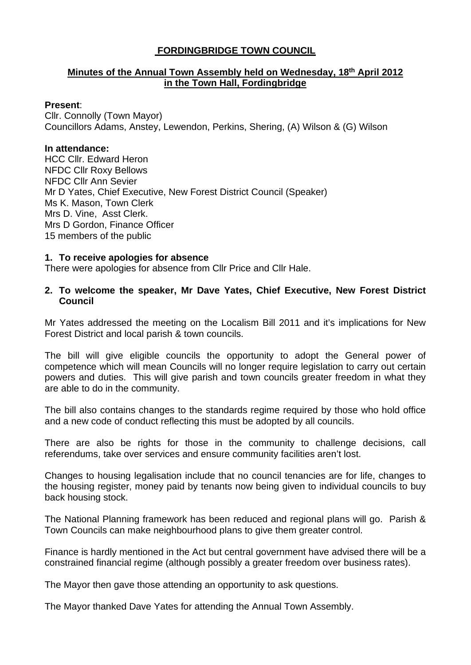# **FORDINGBRIDGE TOWN COUNCIL**

# **Minutes of the Annual Town Assembly held on Wednesday, 18th April 2012 in the Town Hall, Fordingbridge**

#### **Present**:

Cllr. Connolly (Town Mayor) Councillors Adams, Anstey, Lewendon, Perkins, Shering, (A) Wilson & (G) Wilson

#### **In attendance:**

HCC Cllr. Edward Heron NFDC Cllr Roxy Bellows NFDC Cllr Ann Sevier Mr D Yates, Chief Executive, New Forest District Council (Speaker) Ms K. Mason, Town Clerk Mrs D. Vine, Asst Clerk. Mrs D Gordon, Finance Officer 15 members of the public

### **1. To receive apologies for absence**

There were apologies for absence from Cllr Price and Cllr Hale.

#### **2. To welcome the speaker, Mr Dave Yates, Chief Executive, New Forest District Council**

Mr Yates addressed the meeting on the Localism Bill 2011 and it's implications for New Forest District and local parish & town councils.

The bill will give eligible councils the opportunity to adopt the General power of competence which will mean Councils will no longer require legislation to carry out certain powers and duties. This will give parish and town councils greater freedom in what they are able to do in the community.

The bill also contains changes to the standards regime required by those who hold office and a new code of conduct reflecting this must be adopted by all councils.

There are also be rights for those in the community to challenge decisions, call referendums, take over services and ensure community facilities aren't lost.

Changes to housing legalisation include that no council tenancies are for life, changes to the housing register, money paid by tenants now being given to individual councils to buy back housing stock.

The National Planning framework has been reduced and regional plans will go. Parish & Town Councils can make neighbourhood plans to give them greater control.

Finance is hardly mentioned in the Act but central government have advised there will be a constrained financial regime (although possibly a greater freedom over business rates).

The Mayor then gave those attending an opportunity to ask questions.

The Mayor thanked Dave Yates for attending the Annual Town Assembly.